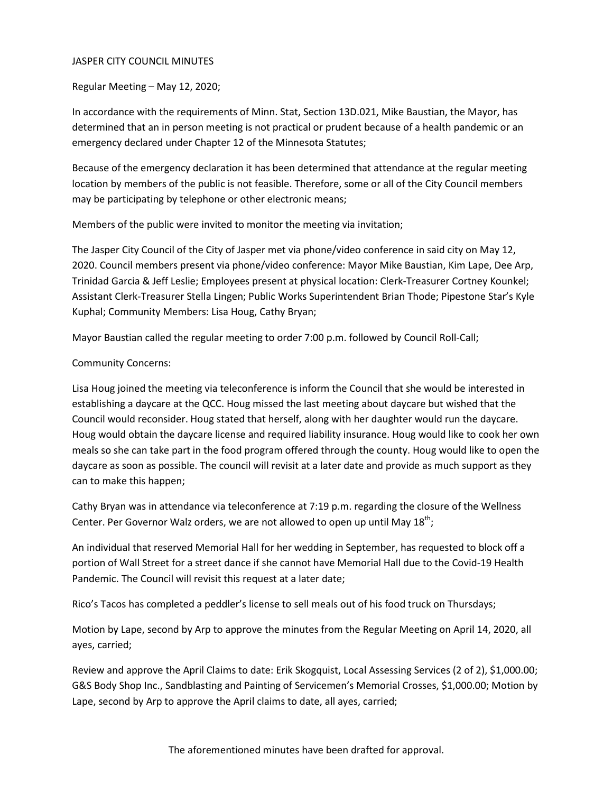## JASPER CITY COUNCIL MINUTES

Regular Meeting – May 12, 2020;

In accordance with the requirements of Minn. Stat, Section 13D.021, Mike Baustian, the Mayor, has determined that an in person meeting is not practical or prudent because of a health pandemic or an emergency declared under Chapter 12 of the Minnesota Statutes;

Because of the emergency declaration it has been determined that attendance at the regular meeting location by members of the public is not feasible. Therefore, some or all of the City Council members may be participating by telephone or other electronic means;

Members of the public were invited to monitor the meeting via invitation;

The Jasper City Council of the City of Jasper met via phone/video conference in said city on May 12, 2020. Council members present via phone/video conference: Mayor Mike Baustian, Kim Lape, Dee Arp, Trinidad Garcia & Jeff Leslie; Employees present at physical location: Clerk-Treasurer Cortney Kounkel; Assistant Clerk-Treasurer Stella Lingen; Public Works Superintendent Brian Thode; Pipestone Star's Kyle Kuphal; Community Members: Lisa Houg, Cathy Bryan;

Mayor Baustian called the regular meeting to order 7:00 p.m. followed by Council Roll-Call;

## Community Concerns:

Lisa Houg joined the meeting via teleconference is inform the Council that she would be interested in establishing a daycare at the QCC. Houg missed the last meeting about daycare but wished that the Council would reconsider. Houg stated that herself, along with her daughter would run the daycare. Houg would obtain the daycare license and required liability insurance. Houg would like to cook her own meals so she can take part in the food program offered through the county. Houg would like to open the daycare as soon as possible. The council will revisit at a later date and provide as much support as they can to make this happen;

Cathy Bryan was in attendance via teleconference at 7:19 p.m. regarding the closure of the Wellness Center. Per Governor Walz orders, we are not allowed to open up until May 18<sup>th</sup>;

An individual that reserved Memorial Hall for her wedding in September, has requested to block off a portion of Wall Street for a street dance if she cannot have Memorial Hall due to the Covid-19 Health Pandemic. The Council will revisit this request at a later date;

Rico's Tacos has completed a peddler's license to sell meals out of his food truck on Thursdays;

Motion by Lape, second by Arp to approve the minutes from the Regular Meeting on April 14, 2020, all ayes, carried;

Review and approve the April Claims to date: Erik Skogquist, Local Assessing Services (2 of 2), \$1,000.00; G&S Body Shop Inc., Sandblasting and Painting of Servicemen's Memorial Crosses, \$1,000.00; Motion by Lape, second by Arp to approve the April claims to date, all ayes, carried;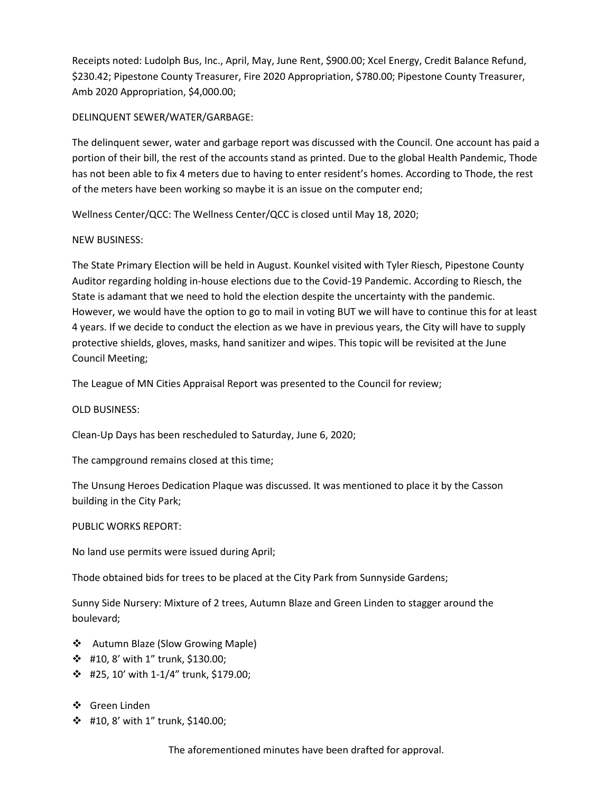Receipts noted: Ludolph Bus, Inc., April, May, June Rent, \$900.00; Xcel Energy, Credit Balance Refund, \$230.42; Pipestone County Treasurer, Fire 2020 Appropriation, \$780.00; Pipestone County Treasurer, Amb 2020 Appropriation, \$4,000.00;

## DELINQUENT SEWER/WATER/GARBAGE:

The delinquent sewer, water and garbage report was discussed with the Council. One account has paid a portion of their bill, the rest of the accounts stand as printed. Due to the global Health Pandemic, Thode has not been able to fix 4 meters due to having to enter resident's homes. According to Thode, the rest of the meters have been working so maybe it is an issue on the computer end;

Wellness Center/QCC: The Wellness Center/QCC is closed until May 18, 2020;

## NEW BUSINESS:

The State Primary Election will be held in August. Kounkel visited with Tyler Riesch, Pipestone County Auditor regarding holding in-house elections due to the Covid-19 Pandemic. According to Riesch, the State is adamant that we need to hold the election despite the uncertainty with the pandemic. However, we would have the option to go to mail in voting BUT we will have to continue this for at least 4 years. If we decide to conduct the election as we have in previous years, the City will have to supply protective shields, gloves, masks, hand sanitizer and wipes. This topic will be revisited at the June Council Meeting;

The League of MN Cities Appraisal Report was presented to the Council for review;

OLD BUSINESS:

Clean-Up Days has been rescheduled to Saturday, June 6, 2020;

The campground remains closed at this time;

The Unsung Heroes Dedication Plaque was discussed. It was mentioned to place it by the Casson building in the City Park;

PUBLIC WORKS REPORT:

No land use permits were issued during April;

Thode obtained bids for trees to be placed at the City Park from Sunnyside Gardens;

Sunny Side Nursery: Mixture of 2 trees, Autumn Blaze and Green Linden to stagger around the boulevard;

- ❖ Autumn Blaze (Slow Growing Maple)
- #10, 8' with 1" trunk, \$130.00;
- $\div$  #25, 10' with 1-1/4" trunk, \$179.00;
- Green Linden
- #10, 8' with 1" trunk, \$140.00;

The aforementioned minutes have been drafted for approval.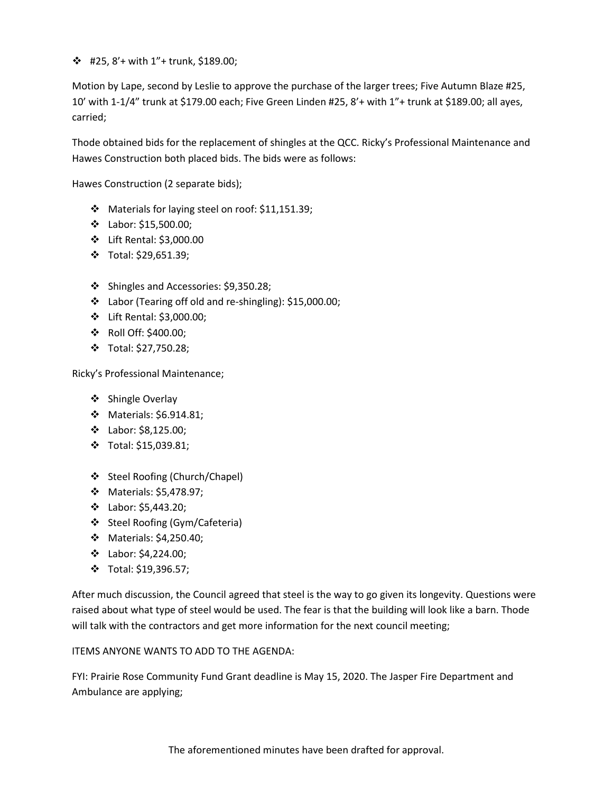$\div$  #25, 8'+ with 1"+ trunk, \$189.00;

Motion by Lape, second by Leslie to approve the purchase of the larger trees; Five Autumn Blaze #25, 10' with 1-1/4" trunk at \$179.00 each; Five Green Linden #25, 8'+ with 1"+ trunk at \$189.00; all ayes, carried;

Thode obtained bids for the replacement of shingles at the QCC. Ricky's Professional Maintenance and Hawes Construction both placed bids. The bids were as follows:

Hawes Construction (2 separate bids);

- Materials for laying steel on roof: \$11,151.39;
- Labor: \$15,500.00;
- Lift Rental: \$3,000.00
- Total: \$29,651.39;
- Shingles and Accessories: \$9,350.28;
- Labor (Tearing off old and re-shingling): \$15,000.00;
- Lift Rental: \$3,000.00;
- Roll Off: \$400.00;
- Total: \$27,750.28;

Ricky's Professional Maintenance;

- ❖ Shingle Overlay
- Materials: \$6.914.81;
- Labor: \$8,125.00;
- Total: \$15,039.81;
- Steel Roofing (Church/Chapel)
- Materials: \$5,478.97;
- Labor: \$5,443.20;
- Steel Roofing (Gym/Cafeteria)
- Materials: \$4,250.40;
- Labor: \$4,224.00;
- Total: \$19,396.57;

After much discussion, the Council agreed that steel is the way to go given its longevity. Questions were raised about what type of steel would be used. The fear is that the building will look like a barn. Thode will talk with the contractors and get more information for the next council meeting;

ITEMS ANYONE WANTS TO ADD TO THE AGENDA:

FYI: Prairie Rose Community Fund Grant deadline is May 15, 2020. The Jasper Fire Department and Ambulance are applying;